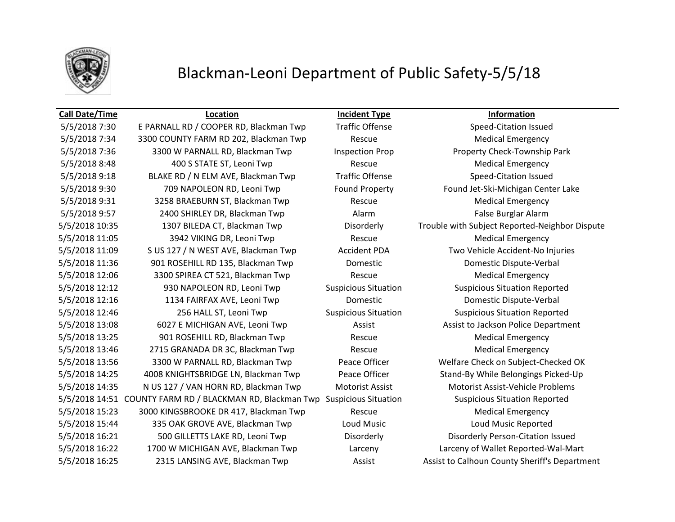

# Blackman-Leoni Department of Public Safety-5/5/18

### **Call Date/Time Location Incident Type Information**

5/5/2018 7:30 E PARNALL RD / COOPER RD, Blackman Twp Traffic Offense Speed-Citation Issued 5/5/2018 7:34 3300 COUNTY FARM RD 202, Blackman Twp Rescue Rescue Medical Emergency 5/5/2018 7:36 3300 W PARNALL RD, Blackman Twp Inspection Prop Property Check-Township Park 5/5/2018 8:48 400 S STATE ST, Leoni Twp Rescue Rescue Medical Emergency 5/5/2018 9:18 BLAKE RD / N ELM AVE, Blackman Twp Traffic Offense Speed-Citation Issued 5/5/2018 9:30 709 NAPOLEON RD, Leoni Twp Found Property Found Jet-Ski-Michigan Center Lake 5/5/2018 9:31 3258 BRAEBURN ST, Blackman Twp Rescue Rescue Medical Emergency 5/5/2018 9:57 2400 SHIRLEY DR, Blackman Twp Alarm Alarm False Burglar Alarm 5/5/2018 11:05 3942 VIKING DR, Leoni Twp Rescue Medical Emergency 5/5/2018 11:09 S US 127 / N WEST AVE, Blackman Twp Accident PDA Two Vehicle Accident-No Injuries 5/5/2018 11:36 901 ROSEHILL RD 135, Blackman Twp Domestic Domestic Dispute-Verbal 5/5/2018 12:06 3300 SPIREA CT 521, Blackman Twp Rescue Medical Emergency 5/5/2018 12:12 930 NAPOLEON RD, Leoni Twp Suspicious Situation Suspicious Situation Reported 5/5/2018 12:16 1134 FAIRFAX AVE, Leoni Twp Domestic Domestic Dispute-Verbal 5/5/2018 12:46 256 HALL ST, Leoni Twp Suspicious Situation Suspicious Situation Reported 5/5/2018 13:08 6027 E MICHIGAN AVE, Leoni Twp **Assist Assist Assist to Jackson Police Department** 5/5/2018 13:25 901 ROSEHILL RD, Blackman Twp Rescue Medical Emergency 5/5/2018 13:46 2715 GRANADA DR 3C, Blackman Twp Rescue Medical Emergency 5/5/2018 13:56 3300 W PARNALL RD, Blackman Twp Peace Officer Welfare Check on Subject-Checked OK 5/5/2018 14:25 4008 KNIGHTSBRIDGE LN, Blackman Twp Peace Officer Stand-By While Belongings Picked-Up 5/5/2018 14:35 N US 127 / VAN HORN RD, Blackman Twp Motorist Assist Motorist Assist-Vehicle Problems 5/5/2018 14:51 COUNTY FARM RD / BLACKMAN RD, Blackman Twp Suspicious Situation Suspicious Situation Reported 5/5/2018 15:23 3000 KINGSBROOKE DR 417, Blackman Twp Rescue Medical Emergency 5/5/2018 15:44 335 OAK GROVE AVE, Blackman Twp Loud Music Loud Music Reported 5/5/2018 16:21 500 GILLETTS LAKE RD, Leoni Twp Disorderly Disorderly Person-Citation Issued 5/5/2018 16:22 1700 W MICHIGAN AVE, Blackman Twp Larceny Larceny of Wallet Reported-Wal-Mart

5/5/2018 10:35 1307 BILEDA CT, Blackman Twp Disorderly Trouble with Subject Reported-Neighbor Dispute 5/5/2018 16:25 2315 LANSING AVE, Blackman Twp Assist Assist Assist to Calhoun County Sheriff's Department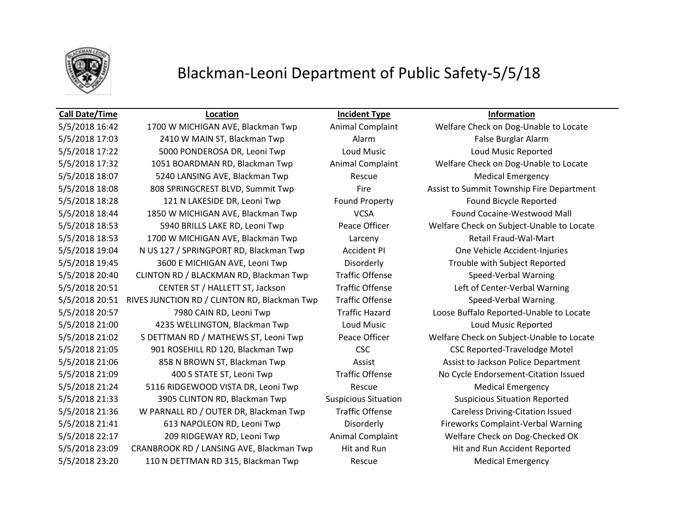

# Blackman-Leoni Department of Public Safety-5/5/18

### **Call Date/Time Location Incident Type Information**

5/5/2018 16:42 1700 W MICHIGAN AVE, Blackman Twp Animal Complaint Welfare Check on Dog-Unable to Locate 5/5/2018 17:03 2410 W MAIN ST, Blackman Twp **Alarm** Alarm **False Burglar Alarm** 5/5/2018 17:22 5000 PONDEROSA DR, Leoni Twp Loud Music Loud Music Reported 5/5/2018 17:32 1051 BOARDMAN RD, Blackman Twp Animal Complaint Welfare Check on Dog-Unable to Locate 5/5/2018 18:07 5240 LANSING AVE, Blackman Twp Rescue Medical Emergency 5/5/2018 18:08 808 SPRINGCREST BLVD, Summit Twp Fire Assist to Summit Township Fire Department 5/5/2018 18:28 121 N LAKESIDE DR, Leoni Twp Found Property Found Bicycle Reported 5/5/2018 18:44 1850 W MICHIGAN AVE, Blackman Twp VCSA Found Cocaine-Westwood Mall 5/5/2018 18:53 5940 BRILLS LAKE RD, Leoni Twp Peace Officer Welfare Check on Subject-Unable to Locate 5/5/2018 18:53 1700 W MICHIGAN AVE, Blackman Twp Larceny Retail Fraud-Wal-Mart 5/5/2018 19:04 N US 127 / SPRINGPORT RD, Blackman Twp Accident PI One Vehicle Accident-Injuries 5/5/2018 19:45 3600 E MICHIGAN AVE, Leoni Twp Disorderly Trouble with Subject Reported 5/5/2018 20:40 CLINTON RD / BLACKMAN RD, Blackman Twp Traffic Offense Speed-Verbal Warning 5/5/2018 20:51 CENTER ST / HALLETT ST, Jackson Traffic Offense Left of Center-Verbal Warning 5/5/2018 20:51 RIVES JUNCTION RD / CLINTON RD, Blackman Twp Traffic Offense Speed-Verbal Warning 5/5/2018 20:57 7980 CAIN RD, Leoni Twp Traffic Hazard Loose Buffalo Reported-Unable to Locate 5/5/2018 21:00 4235 WELLINGTON, Blackman Twp Loud Music Loud Music Reported 5/5/2018 21:02 S DETTMAN RD / MATHEWS ST, Leoni Twp Peace Officer Welfare Check on Subject-Unable to Locate 5/5/2018 21:05 901 ROSEHILL RD 120, Blackman Twp CSC CSC CSC CSC Reported-Travelodge Motel 5/5/2018 21:06 858 N BROWN ST, Blackman Twp Assist Assist Assist to Jackson Police Department 5/5/2018 21:09 400 S STATE ST, Leoni Twp Traffic Offense No Cycle Endorsement-Citation Issued 5/5/2018 21:24 5116 RIDGEWOOD VISTA DR, Leoni Twp Rescue Rescue Medical Emergency 5/5/2018 21:33 3905 CLINTON RD, Blackman Twp Suspicious Situation Suspicious Situation Reported 5/5/2018 21:36 W PARNALL RD / OUTER DR, Blackman Twp Traffic Offense Careless Driving-Citation Issued 5/5/2018 21:41 613 NAPOLEON RD, Leoni Twp Disorderly Fireworks Complaint-Verbal Warning 5/5/2018 22:17 209 RIDGEWAY RD, Leoni Twp Animal Complaint Welfare Check on Dog-Checked OK 5/5/2018 23:09 CRANBROOK RD / LANSING AVE, Blackman Twp Hit and Run Hit and Run Accident Reported 5/5/2018 23:20 110 N DETTMAN RD 315, Blackman Twp Rescue Medical Emergency